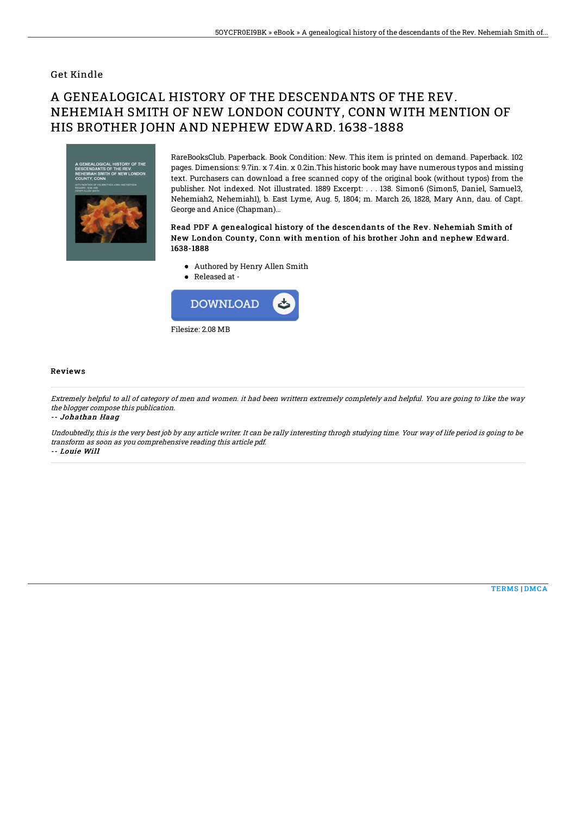### Get Kindle

# A GENEALOGICAL HISTORY OF THE DESCENDANTS OF THE REV. NEHEMIAH SMITH OF NEW LONDON COUNTY, CONN WITH MENTION OF HIS BROTHER JOHN AND NEPHEW EDWARD. 1638-1888



RareBooksClub. Paperback. Book Condition: New. This item is printed on demand. Paperback. 102 pages. Dimensions: 9.7in. x 7.4in. x 0.2in.This historic book may have numerous typos and missing text. Purchasers can download a free scanned copy of the original book (without typos) from the publisher. Not indexed. Not illustrated. 1889 Excerpt: . . . 138. Simon6 (Simon5, Daniel, Samuel3, Nehemiah2, Nehemiah1), b. East Lyme, Aug. 5, 1804; m. March 26, 1828, Mary Ann, dau. of Capt. George and Anice (Chapman)...

#### Read PDF A genealogical history of the descendants of the Rev. Nehemiah Smith of New London County, Conn with mention of his brother John and nephew Edward. 1638-1888

- Authored by Henry Allen Smith
- Released at -



#### Reviews

Extremely helpful to all of category of men and women. it had been writtern extremely completely and helpful. You are going to like the way the blogger compose this publication.

-- Johathan Haag

Undoubtedly, this is the very best job by any article writer. It can be rally interesting throgh studying time. Your way of life period is going to be transform as soon as you comprehensive reading this article pdf. -- Louie Will